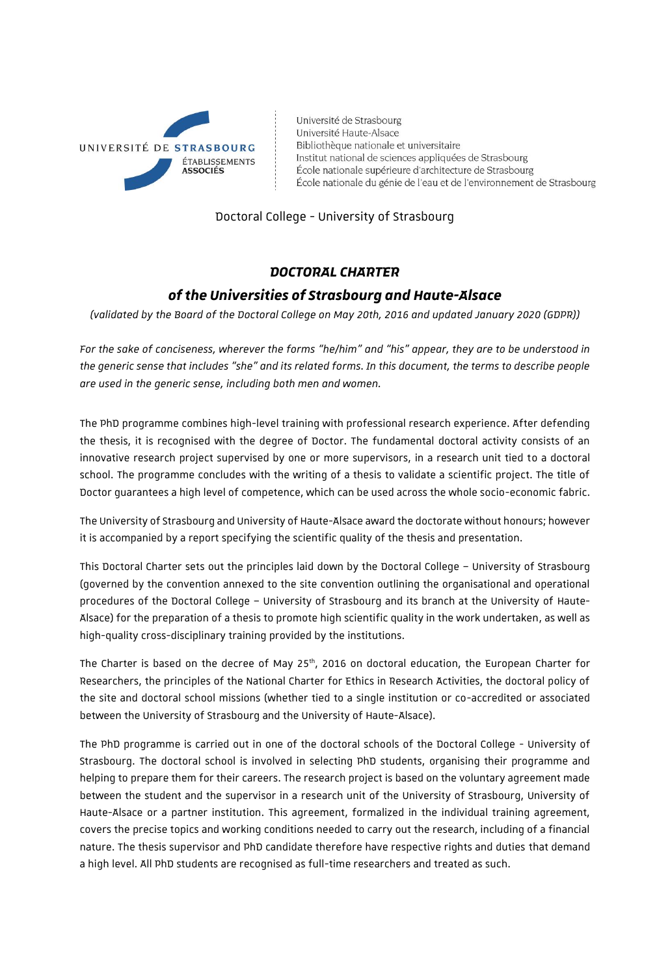

Université de Strasbourg Université Haute-Alsace Bibliothèque nationale et universitaire Institut national de sciences appliquées de Strasbourg École nationale supérieure d'architecture de Strasbourg École nationale du génie de l'eau et de l'environnement de Strasbourg

Doctoral College - University of Strasbourg

# *DOCTORAL CHARTER of the Universities of Strasbourg and Haute-Alsace*

*(validated by the Board of the Doctoral College on May 20th, 2016 and updated January 2020 (GDPR))*

*For the sake of conciseness, wherever the forms "he/him" and "his" appear, they are to be understood in the generic sense that includes "she" and its related forms. In this document, the terms to describe people are used in the generic sense, including both men and women.*

The PhD programme combines high-level training with professional research experience. After defending the thesis, it is recognised with the degree of Doctor. The fundamental doctoral activity consists of an innovative research project supervised by one or more supervisors, in a research unit tied to a doctoral school. The programme concludes with the writing of a thesis to validate a scientific project. The title of Doctor guarantees a high level of competence, which can be used across the whole socio-economic fabric.

The University of Strasbourg and University of Haute-Alsace award the doctorate without honours; however it is accompanied by a report specifying the scientific quality of the thesis and presentation.

This Doctoral Charter sets out the principles laid down by the Doctoral College – University of Strasbourg (governed by the convention annexed to the site convention outlining the organisational and operational procedures of the Doctoral College – University of Strasbourg and its branch at the University of Haute-Alsace) for the preparation of a thesis to promote high scientific quality in the work undertaken, as well as high-quality cross-disciplinary training provided by the institutions.

The Charter is based on the decree of May 25<sup>th</sup>, 2016 on doctoral education, the European Charter for Researchers, the principles of the National Charter for Ethics in Research Activities, the doctoral policy of the site and doctoral school missions (whether tied to a single institution or co-accredited or associated between the University of Strasbourg and the University of Haute-Alsace).

The PhD programme is carried out in one of the doctoral schools of the Doctoral College - University of Strasbourg. The doctoral school is involved in selecting PhD students, organising their programme and helping to prepare them for their careers. The research project is based on the voluntary agreement made between the student and the supervisor in a research unit of the University of Strasbourg, University of Haute-Alsace or a partner institution. This agreement, formalized in the individual training agreement, covers the precise topics and working conditions needed to carry out the research, including of a financial nature. The thesis supervisor and PhD candidate therefore have respective rights and duties that demand a high level. All PhD students are recognised as full-time researchers and treated as such.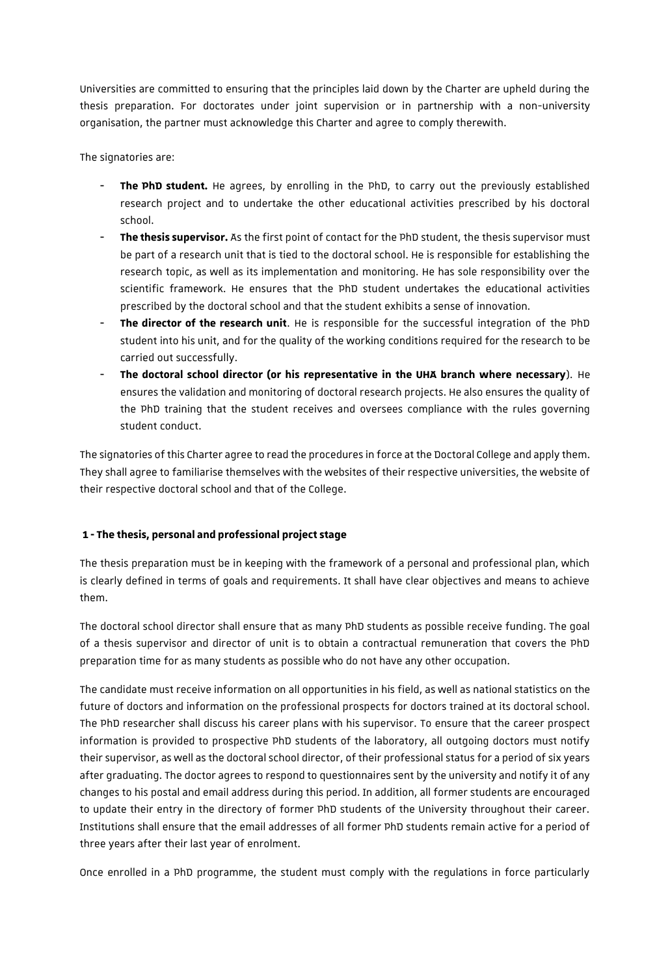Universities are committed to ensuring that the principles laid down by the Charter are upheld during the thesis preparation. For doctorates under joint supervision or in partnership with a non-university organisation, the partner must acknowledge this Charter and agree to comply therewith.

The signatories are:

- **The PhD student.** He agrees, by enrolling in the PhD, to carry out the previously established research project and to undertake the other educational activities prescribed by his doctoral school.
- **The thesis supervisor.** As the first point of contact for the PhD student, the thesis supervisor must be part of a research unit that is tied to the doctoral school. He is responsible for establishing the research topic, as well as its implementation and monitoring. He has sole responsibility over the scientific framework. He ensures that the PhD student undertakes the educational activities prescribed by the doctoral school and that the student exhibits a sense of innovation.
- The director of the research unit. He is responsible for the successful integration of the PhD student into his unit, and for the quality of the working conditions required for the research to be carried out successfully.
- **The doctoral school director (or his representative in the UHA branch where necessary**). He ensures the validation and monitoring of doctoral research projects. He also ensures the quality of the PhD training that the student receives and oversees compliance with the rules governing student conduct.

The signatories of this Charter agree to read the procedures in force at the Doctoral College and apply them. They shall agree to familiarise themselves with the websites of their respective universities, the website of their respective doctoral school and that of the College.

## **1 - The thesis, personal and professional project stage**

The thesis preparation must be in keeping with the framework of a personal and professional plan, which is clearly defined in terms of goals and requirements. It shall have clear objectives and means to achieve them.

The doctoral school director shall ensure that as many PhD students as possible receive funding. The goal of a thesis supervisor and director of unit is to obtain a contractual remuneration that covers the PhD preparation time for as many students as possible who do not have any other occupation.

The candidate must receive information on all opportunities in his field, as well as national statistics on the future of doctors and information on the professional prospects for doctors trained at its doctoral school. The PhD researcher shall discuss his career plans with his supervisor. To ensure that the career prospect information is provided to prospective PhD students of the laboratory, all outgoing doctors must notify their supervisor, as well as the doctoral school director, of their professional status for a period of six years after graduating. The doctor agrees to respond to questionnaires sent by the university and notify it of any changes to his postal and email address during this period. In addition, all former students are encouraged to update their entry in the directory of former PhD students of the University throughout their career. Institutions shall ensure that the email addresses of all former PhD students remain active for a period of three years after their last year of enrolment.

Once enrolled in a PhD programme, the student must comply with the regulations in force particularly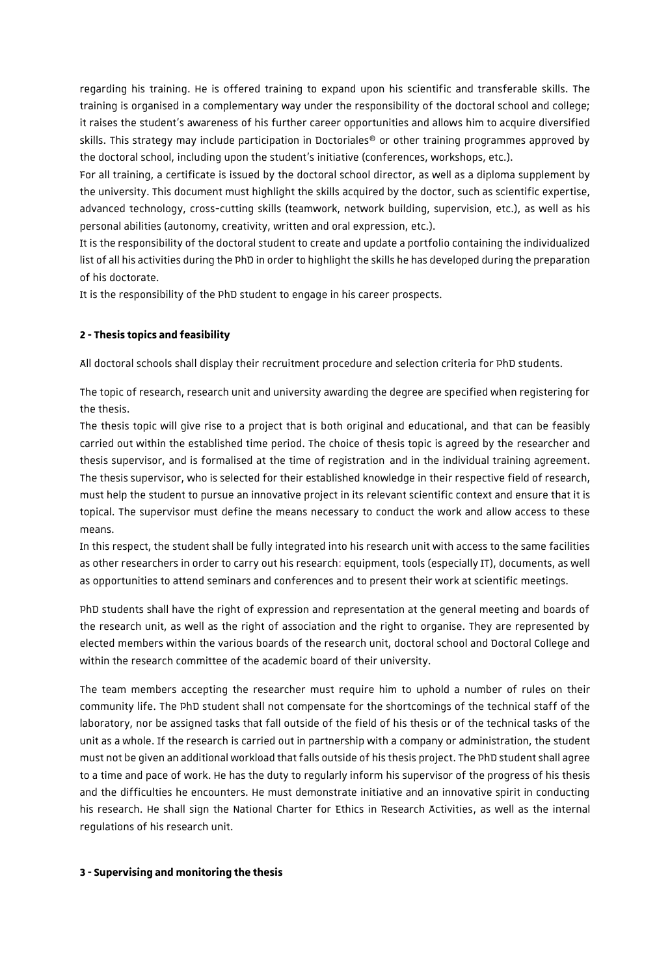regarding his training. He is offered training to expand upon his scientific and transferable skills. The training is organised in a complementary way under the responsibility of the doctoral school and college; it raises the student's awareness of his further career opportunities and allows him to acquire diversified skills. This strategy may include participation in Doctoriales® or other training programmes approved by the doctoral school, including upon the student's initiative (conferences, workshops, etc.).

For all training, a certificate is issued by the doctoral school director, as well as a diploma supplement by the university. This document must highlight the skills acquired by the doctor, such as scientific expertise, advanced technology, cross-cutting skills (teamwork, network building, supervision, etc.), as well as his personal abilities (autonomy, creativity, written and oral expression, etc.).

It is the responsibility of the doctoral student to create and update a portfolio containing the individualized list of all his activities during the PhD in order to highlight the skills he has developed during the preparation of his doctorate.

It is the responsibility of the PhD student to engage in his career prospects.

## **2 - Thesis topics and feasibility**

All doctoral schools shall display their recruitment procedure and selection criteria for PhD students.

The topic of research, research unit and university awarding the degree are specified when registering for the thesis.

The thesis topic will give rise to a project that is both original and educational, and that can be feasibly carried out within the established time period. The choice of thesis topic is agreed by the researcher and thesis supervisor, and is formalised at the time of registration and in the individual training agreement. The thesis supervisor, who is selected for their established knowledge in their respective field of research, must help the student to pursue an innovative project in its relevant scientific context and ensure that it is topical. The supervisor must define the means necessary to conduct the work and allow access to these means.

In this respect, the student shall be fully integrated into his research unit with access to the same facilities as other researchers in order to carry out his research: equipment, tools (especially IT), documents, as well as opportunities to attend seminars and conferences and to present their work at scientific meetings.

PhD students shall have the right of expression and representation at the general meeting and boards of the research unit, as well as the right of association and the right to organise. They are represented by elected members within the various boards of the research unit, doctoral school and Doctoral College and within the research committee of the academic board of their university.

The team members accepting the researcher must require him to uphold a number of rules on their community life. The PhD student shall not compensate for the shortcomings of the technical staff of the laboratory, nor be assigned tasks that fall outside of the field of his thesis or of the technical tasks of the unit as a whole. If the research is carried out in partnership with a company or administration, the student must not be given an additional workload that falls outside of his thesis project. The PhD student shall agree to a time and pace of work. He has the duty to regularly inform his supervisor of the progress of his thesis and the difficulties he encounters. He must demonstrate initiative and an innovative spirit in conducting his research. He shall sign the National Charter for Ethics in Research Activities, as well as the internal regulations of his research unit.

#### **3 -Supervising and monitoring the thesis**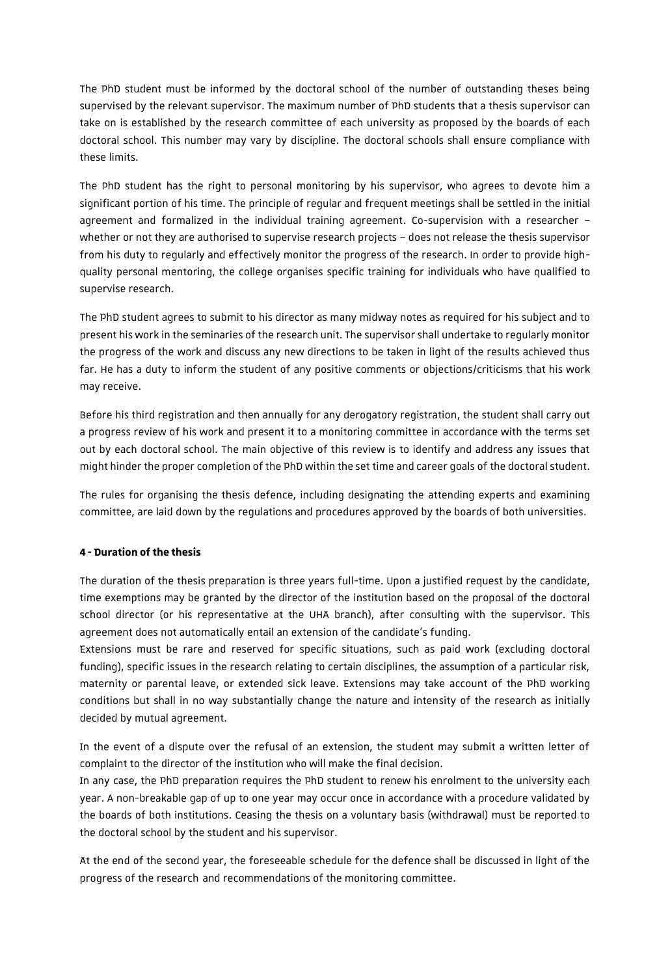The PhD student must be informed by the doctoral school of the number of outstanding theses being supervised by the relevant supervisor. The maximum number of PhD students that a thesis supervisor can take on is established by the research committee of each university as proposed by the boards of each doctoral school. This number may vary by discipline. The doctoral schools shall ensure compliance with these limits.

The PhD student has the right to personal monitoring by his supervisor, who agrees to devote him a significant portion of his time. The principle of regular and frequent meetings shall be settled in the initial agreement and formalized in the individual training agreement. Co-supervision with a researcher – whether or not they are authorised to supervise research projects – does not release the thesis supervisor from his duty to regularly and effectively monitor the progress of the research. In order to provide highquality personal mentoring, the college organises specific training for individuals who have qualified to supervise research.

The PhD student agrees to submit to his director as many midway notes as required for his subject and to present his work in the seminaries of the research unit. The supervisor shall undertake to regularly monitor the progress of the work and discuss any new directions to be taken in light of the results achieved thus far. He has a duty to inform the student of any positive comments or objections/criticisms that his work may receive.

Before his third registration and then annually for any derogatory registration, the student shall carry out a progress review of his work and present it to a monitoring committee in accordance with the terms set out by each doctoral school. The main objective of this review is to identify and address any issues that might hinder the proper completion of the PhD within the set time and career goals of the doctoral student.

The rules for organising the thesis defence, including designating the attending experts and examining committee, are laid down by the regulations and procedures approved by the boards of both universities.

## **4 - Duration of the thesis**

The duration of the thesis preparation is three years full-time. Upon a justified request by the candidate, time exemptions may be granted by the director of the institution based on the proposal of the doctoral school director (or his representative at the UHA branch), after consulting with the supervisor. This agreement does not automatically entail an extension of the candidate's funding.

Extensions must be rare and reserved for specific situations, such as paid work (excluding doctoral funding), specific issues in the research relating to certain disciplines, the assumption of a particular risk, maternity or parental leave, or extended sick leave. Extensions may take account of the PhD working conditions but shall in no way substantially change the nature and intensity of the research as initially decided by mutual agreement.

In the event of a dispute over the refusal of an extension, the student may submit a written letter of complaint to the director of the institution who will make the final decision.

In any case, the PhD preparation requires the PhD student to renew his enrolment to the university each year. A non-breakable gap of up to one year may occur once in accordance with a procedure validated by the boards of both institutions. Ceasing the thesis on a voluntary basis (withdrawal) must be reported to the doctoral school by the student and his supervisor.

At the end of the second year, the foreseeable schedule for the defence shall be discussed in light of the progress of the research and recommendations of the monitoring committee.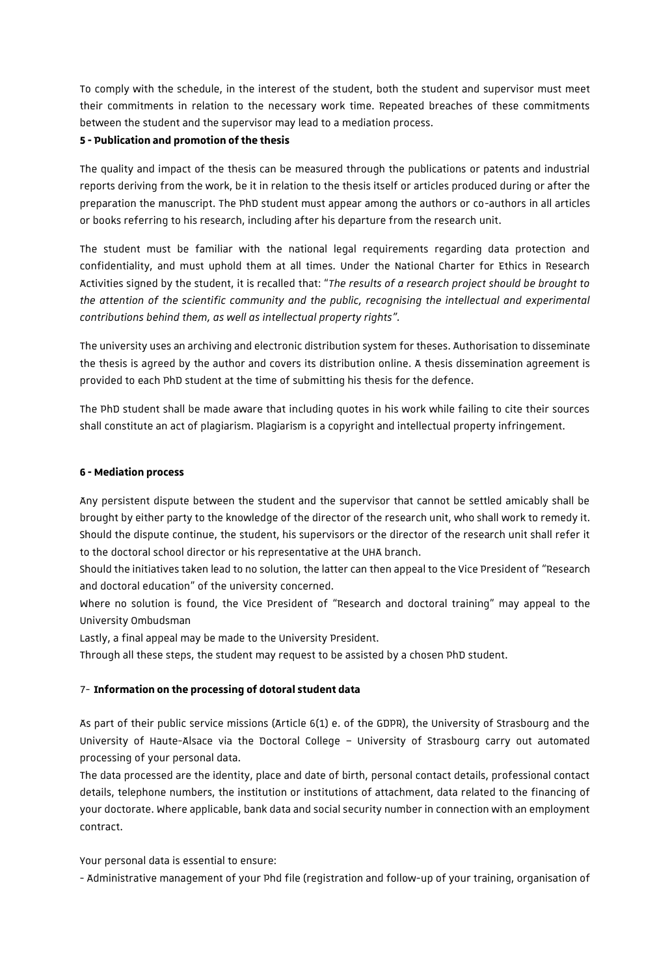To comply with the schedule, in the interest of the student, both the student and supervisor must meet their commitments in relation to the necessary work time. Repeated breaches of these commitments between the student and the supervisor may lead to a mediation process.

#### **5 - Publication and promotion of the thesis**

The quality and impact of the thesis can be measured through the publications or patents and industrial reports deriving from the work, be it in relation to the thesis itself or articles produced during or after the preparation the manuscript. The PhD student must appear among the authors or co-authors in all articles or books referring to his research, including after his departure from the research unit.

The student must be familiar with the national legal requirements regarding data protection and confidentiality, and must uphold them at all times. Under the National Charter for Ethics in Research Activities signed by the student, it is recalled that: "*The results of a research project should be brought to the attention of the scientific community and the public, recognising the intellectual and experimental contributions behind them, as well as intellectual property rights".*

The university uses an archiving and electronic distribution system for theses. Authorisation to disseminate the thesis is agreed by the author and covers its distribution online. A thesis dissemination agreement is provided to each PhD student at the time of submitting his thesis for the defence.

The PhD student shall be made aware that including quotes in his work while failing to cite their sources shall constitute an act of plagiarism. Plagiarism is a copyright and intellectual property infringement.

#### **6 -Mediation process**

Any persistent dispute between the student and the supervisor that cannot be settled amicably shall be brought by either party to the knowledge of the director of the research unit, who shall work to remedy it. Should the dispute continue, the student, his supervisors or the director of the research unit shall refer it to the doctoral school director or his representative at the UHA branch.

Should the initiatives taken lead to no solution, the latter can then appeal to the Vice President of "Research and doctoral education" of the university concerned.

Where no solution is found, the Vice President of "Research and doctoral training" may appeal to the University Ombudsman

Lastly, a final appeal may be made to the University President.

Through all these steps, the student may request to be assisted by a chosen PhD student.

## 7- **Information on the processing of dotoral student data**

As part of their public service missions (Article 6(1) e. of the GDPR), the University of Strasbourg and the University of Haute-Alsace via the Doctoral College – University of Strasbourg carry out automated processing of your personal data.

The data processed are the identity, place and date of birth, personal contact details, professional contact details, telephone numbers, the institution or institutions of attachment, data related to the financing of your doctorate. Where applicable, bank data and social security number in connection with an employment contract.

Your personal data is essential to ensure:

- Administrative management of your Phd file (registration and follow-up of your training, organisation of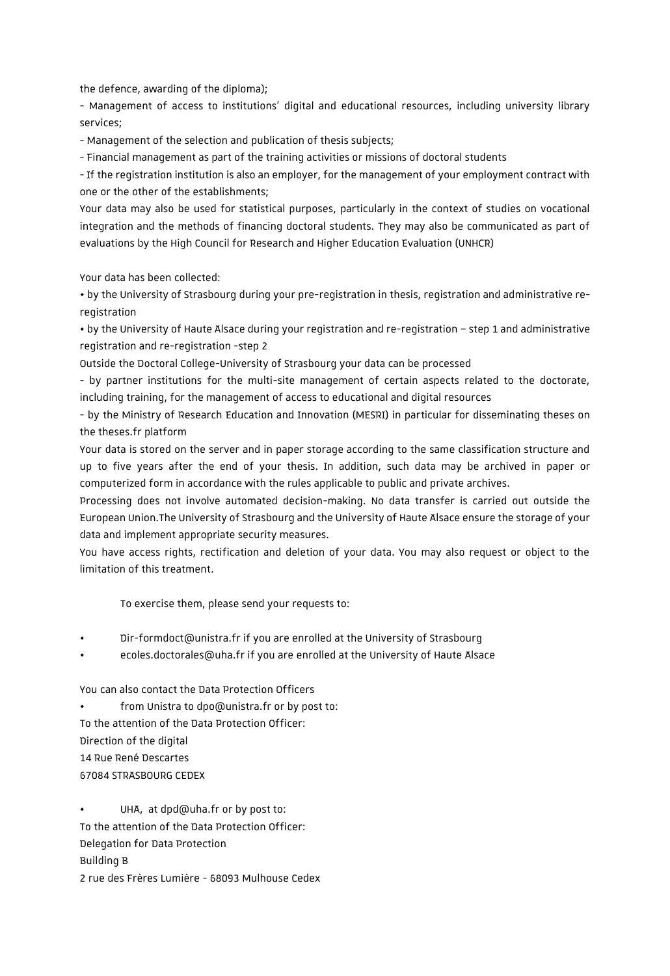the defence, awarding of the diploma);

- Management of access to institutions' digital and educational resources, including university library services;

- Management of the selection and publication of thesis subjects;

- Financial management as part of the training activities or missions of doctoral students

- If the registration institution is also an employer, for the management of your employment contract with one or the other of the establishments;

Your data may also be used for statistical purposes, particularly in the context of studies on vocational integration and the methods of financing doctoral students. They may also be communicated as part of evaluations by the High Council for Research and Higher Education Evaluation (UNHCR)

Your data has been collected:

• by the University of Strasbourg during your pre-registration in thesis, registration and administrative reregistration

• by the University of Haute Alsace during your registration and re-registration – step 1 and administrative registration and re-registration -step 2

Outside the Doctoral College-University of Strasbourg your data can be processed

- by partner institutions for the multi-site management of certain aspects related to the doctorate, including training, for the management of access to educational and digital resources

- by the Ministry of Research Education and Innovation (MESRI) in particular for disseminating theses on the theses.fr platform

Your data is stored on the server and in paper storage according to the same classification structure and up to five years after the end of your thesis. In addition, such data may be archived in paper or computerized form in accordance with the rules applicable to public and private archives.

Processing does not involve automated decision-making. No data transfer is carried out outside the European Union.The University of Strasbourg and the University of Haute Alsace ensure the storage of your data and implement appropriate security measures.

You have access rights, rectification and deletion of your data. You may also request or object to the limitation of this treatment.

To exercise them, please send your requests to:

- Dir-formdoct@unistra.fr if you are enrolled at the University of Strasbourg
- ecoles.doctorales@uha.fr if you are enrolled at the University of Haute Alsace

You can also contact the Data Protection Officers

from Unistra to dpo@unistra.fr or by post to:

To the attention of the Data Protection Officer:

Direction of the digital

14 Rue René Descartes

67084 STRASBOURG CEDEX

UHA, at dpd@uha.fr or by post to: To the attention of the Data Protection Officer: Delegation for Data Protection Building B 2 rue des Frères Lumière - 68093 Mulhouse Cedex